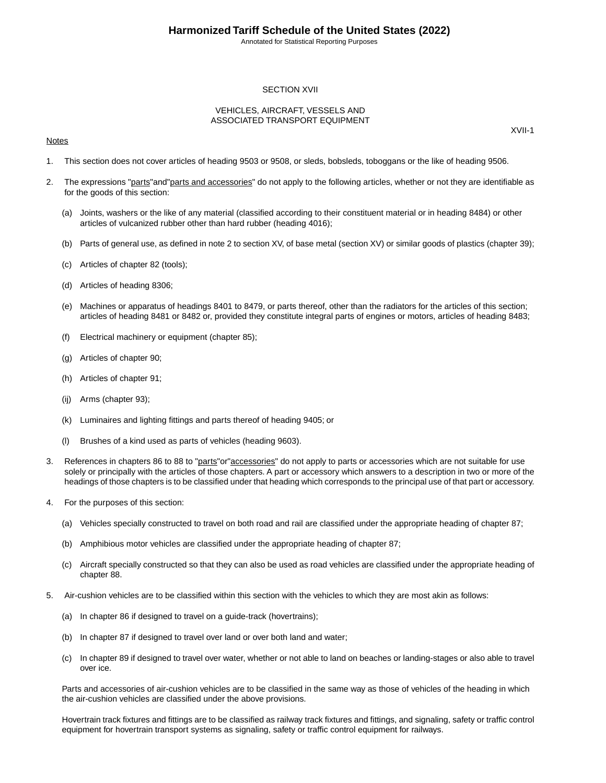Annotated for Statistical Reporting Purposes

### SECTION XVII

### VEHICLES, AIRCRAFT, VESSELS AND ASSOCIATED TRANSPORT EQUIPMENT

#### **Notes**

XVII-1

- 1. This section does not cover articles of heading 9503 or 9508, or sleds, bobsleds, toboggans or the like of heading 9506.
- 2. The expressions "parts" and "parts and accessories" do not apply to the following articles, whether or not they are identifiable as for the goods of this section:
	- (a) Joints, washers or the like of any material (classified according to their constituent material or in heading 8484) or other articles of vulcanized rubber other than hard rubber (heading 4016);
	- (b) Parts of general use, as defined in note 2 to section XV, of base metal (section XV) or similar goods of plastics (chapter 39);
	- (c) Articles of chapter 82 (tools);
	- (d) Articles of heading 8306;
	- (e) Machines or apparatus of headings 8401 to 8479, or parts thereof, other than the radiators for the articles of this section; articles of heading 8481 or 8482 or, provided they constitute integral parts of engines or motors, articles of heading 8483;
	- (f) Electrical machinery or equipment (chapter 85);
	- (g) Articles of chapter 90;
	- (h) Articles of chapter 91;
	- (ij) Arms (chapter 93);
	- (k) Luminaires and lighting fittings and parts thereof of heading 9405; or
	- (l) Brushes of a kind used as parts of vehicles (heading 9603).
- 3. References in chapters 86 to 88 to "parts"or"accessories" do not apply to parts or accessories which are not suitable for use solely or principally with the articles of those chapters. A part or accessory which answers to a description in two or more of the headings of those chapters is to be classified under that heading which corresponds to the principal use of that part or accessory.
- 4. For the purposes of this section:
	- (a) Vehicles specially constructed to travel on both road and rail are classified under the appropriate heading of chapter 87;
	- (b) Amphibious motor vehicles are classified under the appropriate heading of chapter 87;
	- (c) Aircraft specially constructed so that they can also be used as road vehicles are classified under the appropriate heading of chapter 88.
- 5. Air-cushion vehicles are to be classified within this section with the vehicles to which they are most akin as follows:
	- (a) In chapter 86 if designed to travel on a guide-track (hovertrains);
	- (b) In chapter 87 if designed to travel over land or over both land and water;
	- (c) In chapter 89 if designed to travel over water, whether or not able to land on beaches or landing-stages or also able to travel over ice.

Parts and accessories of air-cushion vehicles are to be classified in the same way as those of vehicles of the heading in which the air-cushion vehicles are classified under the above provisions.

Hovertrain track fixtures and fittings are to be classified as railway track fixtures and fittings, and signaling, safety or traffic control equipment for hovertrain transport systems as signaling, safety or traffic control equipment for railways.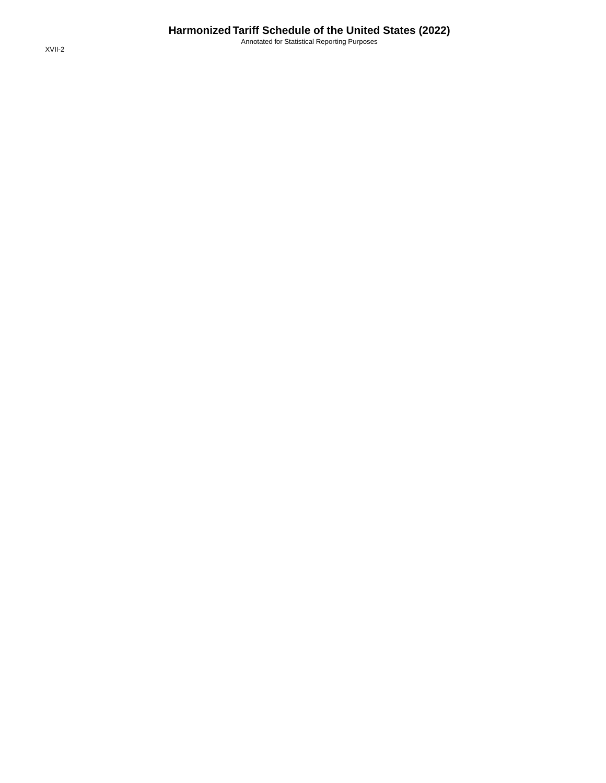Annotated for Statistical Reporting Purposes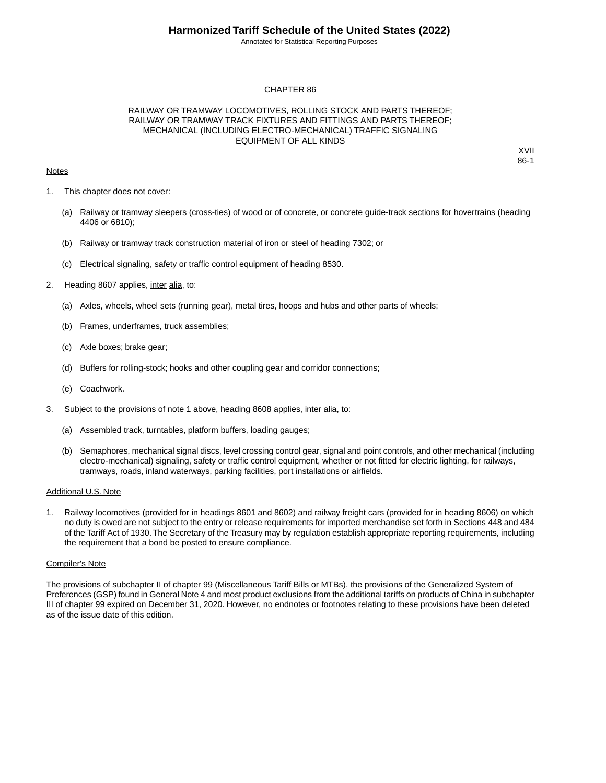Annotated for Statistical Reporting Purposes

#### CHAPTER 86

### RAILWAY OR TRAMWAY LOCOMOTIVES, ROLLING STOCK AND PARTS THEREOF; RAILWAY OR TRAMWAY TRACK FIXTURES AND FITTINGS AND PARTS THEREOF; MECHANICAL (INCLUDING ELECTRO-MECHANICAL) TRAFFIC SIGNALING EQUIPMENT OF ALL KINDS

### **Notes**

XVII 86-1

- 1. This chapter does not cover:
	- (a) Railway or tramway sleepers (cross-ties) of wood or of concrete, or concrete guide-track sections for hovertrains (heading 4406 or 6810);
	- (b) Railway or tramway track construction material of iron or steel of heading 7302; or
	- (c) Electrical signaling, safety or traffic control equipment of heading 8530.
- 2. Heading 8607 applies, inter alia, to:
	- (a) Axles, wheels, wheel sets (running gear), metal tires, hoops and hubs and other parts of wheels;
	- (b) Frames, underframes, truck assemblies;
	- (c) Axle boxes; brake gear;
	- (d) Buffers for rolling-stock; hooks and other coupling gear and corridor connections;
	- (e) Coachwork.
- 3. Subject to the provisions of note 1 above, heading 8608 applies, inter alia, to:
	- (a) Assembled track, turntables, platform buffers, loading gauges;
	- (b) Semaphores, mechanical signal discs, level crossing control gear, signal and point controls, and other mechanical (including electro-mechanical) signaling, safety or traffic control equipment, whether or not fitted for electric lighting, for railways, tramways, roads, inland waterways, parking facilities, port installations or airfields.

#### Additional U.S. Note

1. Railway locomotives (provided for in headings 8601 and 8602) and railway freight cars (provided for in heading 8606) on which no duty is owed are not subject to the entry or release requirements for imported merchandise set forth in Sections 448 and 484 of the Tariff Act of 1930.The Secretary of the Treasury may by regulation establish appropriate reporting requirements, including the requirement that a bond be posted to ensure compliance.

#### Compiler's Note

The provisions of subchapter II of chapter 99 (Miscellaneous Tariff Bills or MTBs), the provisions of the Generalized System of Preferences (GSP) found in General Note 4 and most product exclusions from the additional tariffs on products of China in subchapter III of chapter 99 expired on December 31, 2020. However, no endnotes or footnotes relating to these provisions have been deleted as of the issue date of this edition.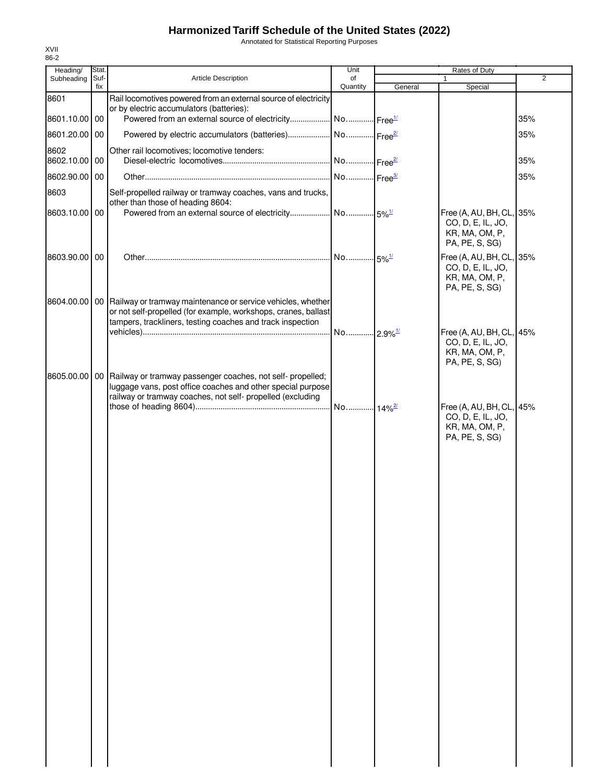Annotated for Statistical Reporting Purposes

| Heading/              | Stat.       |                                                                                                                                                                                                               | Unit                  | Rates of Duty |                                                                                   |                |
|-----------------------|-------------|---------------------------------------------------------------------------------------------------------------------------------------------------------------------------------------------------------------|-----------------------|---------------|-----------------------------------------------------------------------------------|----------------|
| Subheading            | Suf-<br>fix | Article Description                                                                                                                                                                                           | of<br>Quantity        | General       | Special                                                                           | $\overline{2}$ |
| 8601                  |             | Rail locomotives powered from an external source of electricity<br>or by electric accumulators (batteries):                                                                                                   |                       |               |                                                                                   |                |
| 8601.10.00 00         |             | Powered from an external source of electricity  No  Free <sup>1/</sup>                                                                                                                                        |                       |               |                                                                                   | 35%            |
| 8601.20.00 00         |             | Powered by electric accumulators (batteries)  No  Free <sup>21</sup>                                                                                                                                          |                       |               |                                                                                   | 35%            |
| 8602<br>8602.10.00 00 |             | Other rail locomotives; locomotive tenders:                                                                                                                                                                   |                       |               |                                                                                   | 35%            |
| 8602.90.00 00         |             |                                                                                                                                                                                                               |                       |               |                                                                                   | 35%            |
| 8603                  |             | Self-propelled railway or tramway coaches, vans and trucks,<br>other than those of heading 8604:                                                                                                              |                       |               |                                                                                   |                |
| 8603.10.00 00         |             | Powered from an external source of electricity  No  5% <sup>1/</sup>                                                                                                                                          |                       |               | Free (A, AU, BH, CL, 35%<br>CO, D, E, IL, JO,<br>KR, MA, OM, P,<br>PA, PE, S, SG) |                |
| 8603.90.00 00         |             |                                                                                                                                                                                                               |                       |               | Free (A, AU, BH, CL, 35%<br>CO, D, E, IL, JO,<br>KR, MA, OM, P,<br>PA, PE, S, SG) |                |
|                       |             | 8604.00.00   00   Railway or tramway maintenance or service vehicles, whether<br>or not self-propelled (for example, workshops, cranes, ballast<br>tampers, trackliners, testing coaches and track inspection |                       |               |                                                                                   |                |
|                       |             |                                                                                                                                                                                                               | No 2.9% <sup>1/</sup> |               | Free (A, AU, BH, CL, 45%<br>CO, D, E, IL, JO,<br>KR, MA, OM, P,<br>PA, PE, S, SG) |                |
| 8605.00.00            |             | 00 Railway or tramway passenger coaches, not self- propelled;<br>luggage vans, post office coaches and other special purpose<br>railway or tramway coaches, not self- propelled (excluding                    |                       |               |                                                                                   |                |
|                       |             |                                                                                                                                                                                                               |                       |               | Free (A, AU, BH, CL, 45%<br>CO, D, E, IL, JO,<br>KR, MA, OM, P,<br>PA, PE, S, SG) |                |
|                       |             |                                                                                                                                                                                                               |                       |               |                                                                                   |                |
|                       |             |                                                                                                                                                                                                               |                       |               |                                                                                   |                |
|                       |             |                                                                                                                                                                                                               |                       |               |                                                                                   |                |
|                       |             |                                                                                                                                                                                                               |                       |               |                                                                                   |                |
|                       |             |                                                                                                                                                                                                               |                       |               |                                                                                   |                |
|                       |             |                                                                                                                                                                                                               |                       |               |                                                                                   |                |
|                       |             |                                                                                                                                                                                                               |                       |               |                                                                                   |                |
|                       |             |                                                                                                                                                                                                               |                       |               |                                                                                   |                |
|                       |             |                                                                                                                                                                                                               |                       |               |                                                                                   |                |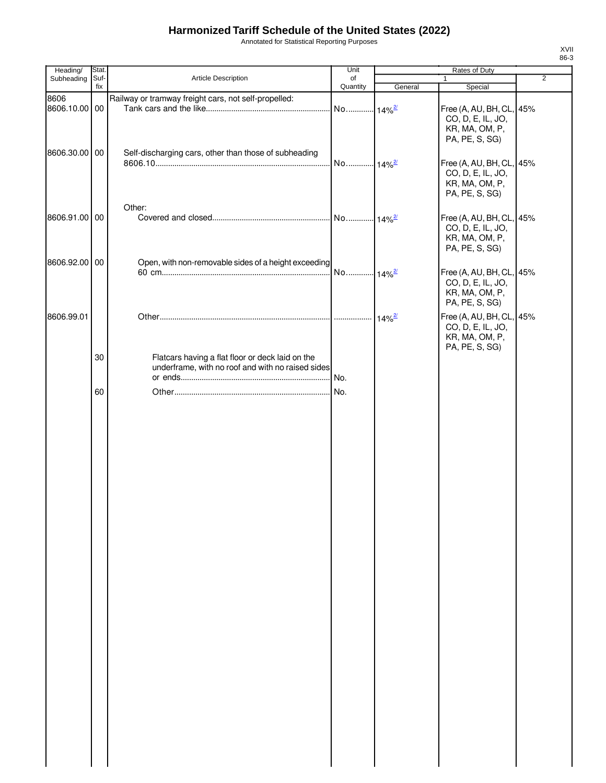Annotated for Statistical Reporting Purposes

| Heading/              | Stat. |                                                                                                       | Unit                 |                      | Rates of Duty                                                                     |                |
|-----------------------|-------|-------------------------------------------------------------------------------------------------------|----------------------|----------------------|-----------------------------------------------------------------------------------|----------------|
| Subheading            | Suf-  | Article Description                                                                                   | of                   |                      | $\mathbf{1}$                                                                      | $\overline{2}$ |
|                       | fix   |                                                                                                       | Quantity             | General              | Special                                                                           |                |
| 8606<br>8606.10.00 00 |       | Railway or tramway freight cars, not self-propelled:                                                  | No 14% <sup>2/</sup> |                      | Free (A, AU, BH, CL, 45%<br>CO, D, E, IL, JO,<br>KR, MA, OM, P,<br>PA, PE, S, SG) |                |
| 8606.30.00 00         |       | Self-discharging cars, other than those of subheading                                                 | No 14% <sup>2/</sup> |                      | Free (A, AU, BH, CL, 45%<br>CO, D, E, IL, JO,<br>KR, MA, OM, P,<br>PA, PE, S, SG) |                |
|                       |       | Other:                                                                                                |                      |                      |                                                                                   |                |
| 8606.91.00 00         |       |                                                                                                       | No                   | $14\%$ <sup>2/</sup> | Free (A, AU, BH, CL, 45%<br>CO, D, E, IL, JO,<br>KR, MA, OM, P,<br>PA, PE, S, SG) |                |
| 8606.92.00 00         |       | Open, with non-removable sides of a height exceeding                                                  |                      |                      |                                                                                   |                |
|                       |       |                                                                                                       | No 14% <sup>2/</sup> |                      | Free (A, AU, BH, CL, 45%<br>CO, D, E, IL, JO,<br>KR, MA, OM, P,<br>PA, PE, S, SG) |                |
| 8606.99.01            |       |                                                                                                       |                      | $14\%$ <sup>2/</sup> | Free (A, AU, BH, CL, 45%<br>CO, D, E, IL, JO,<br>KR, MA, OM, P,<br>PA, PE, S, SG) |                |
|                       | 30    | Flatcars having a flat floor or deck laid on the<br>underframe, with no roof and with no raised sides | No.                  |                      |                                                                                   |                |
|                       | 60    |                                                                                                       |                      |                      |                                                                                   |                |
|                       |       |                                                                                                       |                      |                      |                                                                                   |                |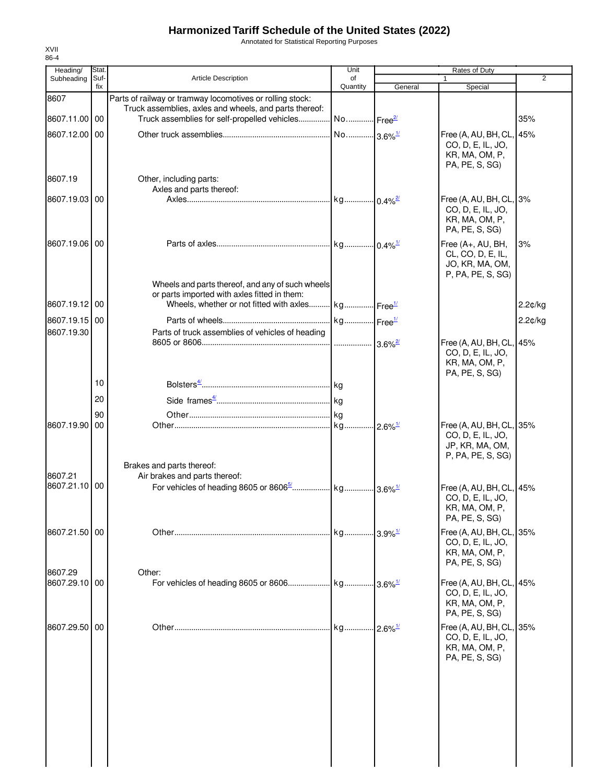Annotated for Statistical Reporting Purposes

| Heading/                 | Stat.       |                                                                                                                                                                     | Unit                  |                         |                                                                                       |                |
|--------------------------|-------------|---------------------------------------------------------------------------------------------------------------------------------------------------------------------|-----------------------|-------------------------|---------------------------------------------------------------------------------------|----------------|
| Subheading               | Suf-<br>fix | <b>Article Description</b>                                                                                                                                          | of<br>Quantity        | General                 | Special                                                                               | $\overline{2}$ |
| 8607<br>8607.11.00 00    |             | Parts of railway or tramway locomotives or rolling stock:<br>Truck assemblies, axles and wheels, and parts thereof:<br>Truck assemblies for self-propelled vehicles | No Free <sup>21</sup> |                         |                                                                                       | 35%            |
| 8607.12.00               | 00          |                                                                                                                                                                     | No 3.6% <sup>1/</sup> |                         | Free (A, AU, BH, CL, 45%<br>CO, D, E, IL, JO,<br>KR, MA, OM, P,                       |                |
| 8607.19                  |             | Other, including parts:<br>Axles and parts thereof:                                                                                                                 |                       |                         | PA, PE, S, SG)                                                                        |                |
| 8607.19.03               | 00          |                                                                                                                                                                     |                       |                         | Free (A, AU, BH, CL, 3%<br>CO, D, E, IL, JO,<br>KR, MA, OM, P,<br>PA, PE, S, SG)      |                |
| 8607.19.06 00            |             |                                                                                                                                                                     | kg 0.4% <sup>1/</sup> |                         | Free (A+, AU, BH,<br>CL, CO, D, E, IL,<br>JO, KR, MA, OM,<br>P, PA, PE, S, SG)        | 3%             |
|                          |             | Wheels and parts thereof, and any of such wheels<br>or parts imported with axles fitted in them:                                                                    |                       |                         |                                                                                       |                |
| 8607.19.12               | 00          | Wheels, whether or not fitted with axles kg Free <sup>1/</sup>                                                                                                      |                       |                         |                                                                                       | 2.2¢/kg        |
| 8607.19.15 00            |             |                                                                                                                                                                     |                       |                         |                                                                                       | 2.2¢/kg        |
| 8607.19.30               |             | Parts of truck assemblies of vehicles of heading                                                                                                                    |                       |                         |                                                                                       |                |
|                          |             |                                                                                                                                                                     |                       |                         | Free (A, AU, BH, CL, 45%<br>CO, D, E, IL, JO,<br>KR, MA, OM, P,<br>PA, PE, S, SG)     |                |
|                          | 10          |                                                                                                                                                                     |                       |                         |                                                                                       |                |
|                          | 20          |                                                                                                                                                                     |                       |                         |                                                                                       |                |
|                          | 90          |                                                                                                                                                                     |                       |                         |                                                                                       |                |
| 8607.19.90               | 00          | Brakes and parts thereof:                                                                                                                                           |                       |                         | Free (A, AU, BH, CL, 35%<br>CO, D, E, IL, JO,<br>JP, KR, MA, OM,<br>P, PA, PE, S, SG) |                |
| 8607.21<br>8607.21.10 00 |             | Air brakes and parts thereof:                                                                                                                                       |                       |                         |                                                                                       |                |
|                          |             |                                                                                                                                                                     |                       |                         | Free (A, AU, BH, CL, 45%<br>CO, D, E, IL, JO,<br>KR, MA, OM, P,<br>PA, PE, S, SG)     |                |
| 8607.21.50 00            |             |                                                                                                                                                                     | kg                    | $.13.9\%$ <sup>1/</sup> | Free (A, AU, BH, CL, 35%<br>CO, D, E, IL, JO,<br>KR, MA, OM, P,<br>PA, PE, S, SG)     |                |
| 8607.29<br>8607.29.10 00 |             | Other:                                                                                                                                                              |                       |                         | Free (A, AU, BH, CL, 45%<br>CO, D, E, IL, JO,<br>KR, MA, OM, P,<br>PA, PE, S, SG)     |                |
| 8607.29.50               | 00          |                                                                                                                                                                     | kg                    | $12.6\%$ <sup>1/</sup>  | Free (A, AU, BH, CL, 35%<br>CO, D, E, IL, JO,<br>KR, MA, OM, P,<br>PA, PE, S, SG)     |                |
|                          |             |                                                                                                                                                                     |                       |                         |                                                                                       |                |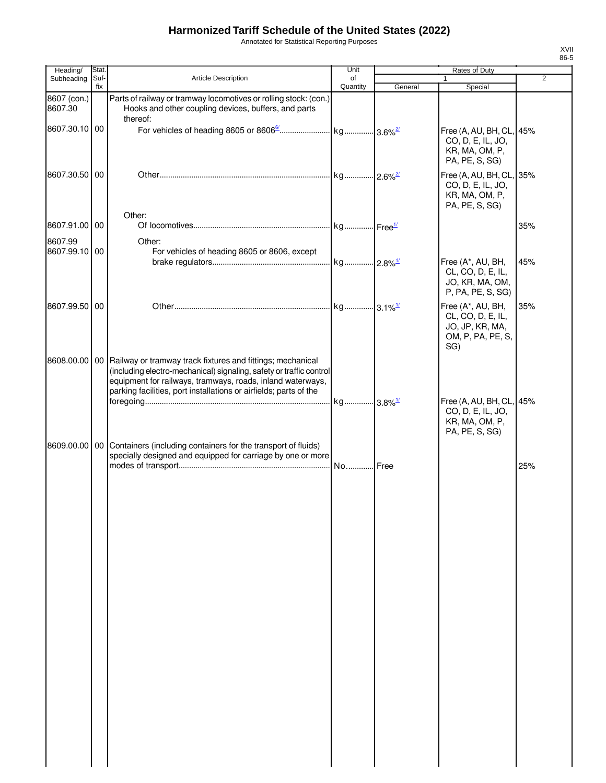Annotated for Statistical Reporting Purposes

| Heading/                 | <b>Stat</b> |                                                                                                                                                                                                                                                                                        | Unit     |         | Rates of Duty                                                                         |                |
|--------------------------|-------------|----------------------------------------------------------------------------------------------------------------------------------------------------------------------------------------------------------------------------------------------------------------------------------------|----------|---------|---------------------------------------------------------------------------------------|----------------|
| Subheading               | Suf-        | Article Description                                                                                                                                                                                                                                                                    | of       |         | 1                                                                                     | $\overline{2}$ |
|                          | fix         |                                                                                                                                                                                                                                                                                        | Quantity | General | Special                                                                               |                |
| 8607 (con.)<br>8607.30   |             | Parts of railway or tramway locomotives or rolling stock: (con.)<br>Hooks and other coupling devices, buffers, and parts<br>thereof:                                                                                                                                                   |          |         |                                                                                       |                |
| 8607.30.10 00            |             |                                                                                                                                                                                                                                                                                        |          |         | Free (A, AU, BH, CL, 45%<br>CO, D, E, IL, JO,<br>KR, MA, OM, P,<br>PA, PE, S, SG)     |                |
| 8607.30.50 00            |             |                                                                                                                                                                                                                                                                                        |          |         | Free (A, AU, BH, CL, 35%<br>CO, D, E, IL, JO,<br>KR, MA, OM, P,<br>PA, PE, S, SG)     |                |
| 8607.91.00 00            |             | Other:                                                                                                                                                                                                                                                                                 |          |         |                                                                                       | 35%            |
| 8607.99<br>8607.99.10 00 |             | Other:<br>For vehicles of heading 8605 or 8606, except                                                                                                                                                                                                                                 |          |         | Free (A*, AU, BH,                                                                     | 45%            |
|                          |             |                                                                                                                                                                                                                                                                                        |          |         | CL, CO, D, E, IL,<br>JO, KR, MA, OM,<br>P, PA, PE, S, SG)                             |                |
| 8607.99.50 00            |             |                                                                                                                                                                                                                                                                                        |          |         | Free (A*, AU, BH,<br>CL, CO, D, E, IL,<br>JO, JP, KR, MA,<br>OM, P, PA, PE, S,<br>SG) | 35%            |
|                          |             | 8608.00.00   00   Railway or tramway track fixtures and fittings; mechanical<br>(including electro-mechanical) signaling, safety or traffic control<br>equipment for railways, tramways, roads, inland waterways,<br>parking facilities, port installations or airfields; parts of the |          |         | Free (A, AU, BH, CL, 45%                                                              |                |
|                          |             | 8609.00.00   00   Containers (including containers for the transport of fluids)                                                                                                                                                                                                        |          |         | CO, D, E, IL, JO,<br>KR, MA, OM, P,<br>PA, PE, S, SG)                                 |                |
|                          |             | specially designed and equipped for carriage by one or more                                                                                                                                                                                                                            |          |         |                                                                                       | 25%            |
|                          |             |                                                                                                                                                                                                                                                                                        |          |         |                                                                                       |                |
|                          |             |                                                                                                                                                                                                                                                                                        |          |         |                                                                                       |                |
|                          |             |                                                                                                                                                                                                                                                                                        |          |         |                                                                                       |                |
|                          |             |                                                                                                                                                                                                                                                                                        |          |         |                                                                                       |                |
|                          |             |                                                                                                                                                                                                                                                                                        |          |         |                                                                                       |                |
|                          |             |                                                                                                                                                                                                                                                                                        |          |         |                                                                                       |                |
|                          |             |                                                                                                                                                                                                                                                                                        |          |         |                                                                                       |                |
|                          |             |                                                                                                                                                                                                                                                                                        |          |         |                                                                                       |                |
|                          |             |                                                                                                                                                                                                                                                                                        |          |         |                                                                                       |                |